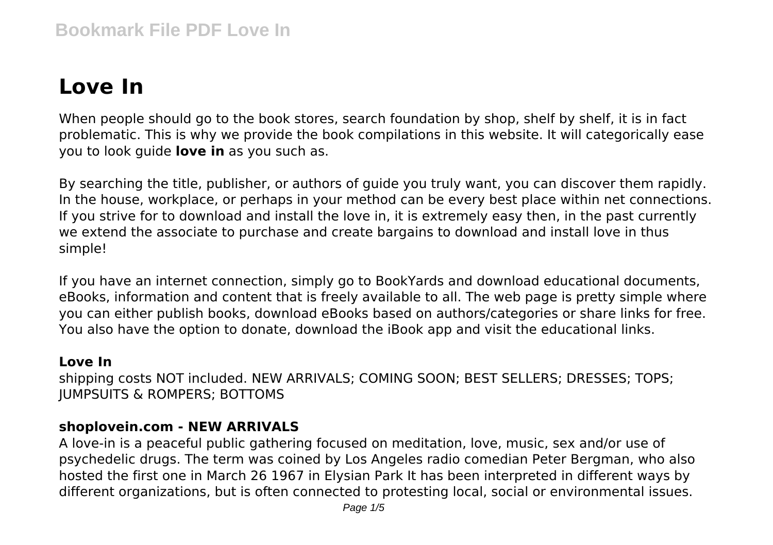# **Love In**

When people should go to the book stores, search foundation by shop, shelf by shelf, it is in fact problematic. This is why we provide the book compilations in this website. It will categorically ease you to look guide **love in** as you such as.

By searching the title, publisher, or authors of guide you truly want, you can discover them rapidly. In the house, workplace, or perhaps in your method can be every best place within net connections. If you strive for to download and install the love in, it is extremely easy then, in the past currently we extend the associate to purchase and create bargains to download and install love in thus simple!

If you have an internet connection, simply go to BookYards and download educational documents, eBooks, information and content that is freely available to all. The web page is pretty simple where you can either publish books, download eBooks based on authors/categories or share links for free. You also have the option to donate, download the iBook app and visit the educational links.

## **Love In**

shipping costs NOT included. NEW ARRIVALS; COMING SOON; BEST SELLERS; DRESSES; TOPS; JUMPSUITS & ROMPERS; BOTTOMS

#### **shoplovein.com - NEW ARRIVALS**

A love-in is a peaceful public gathering focused on meditation, love, music, sex and/or use of psychedelic drugs. The term was coined by Los Angeles radio comedian Peter Bergman, who also hosted the first one in March 26 1967 in Elysian Park It has been interpreted in different ways by different organizations, but is often connected to protesting local, social or environmental issues.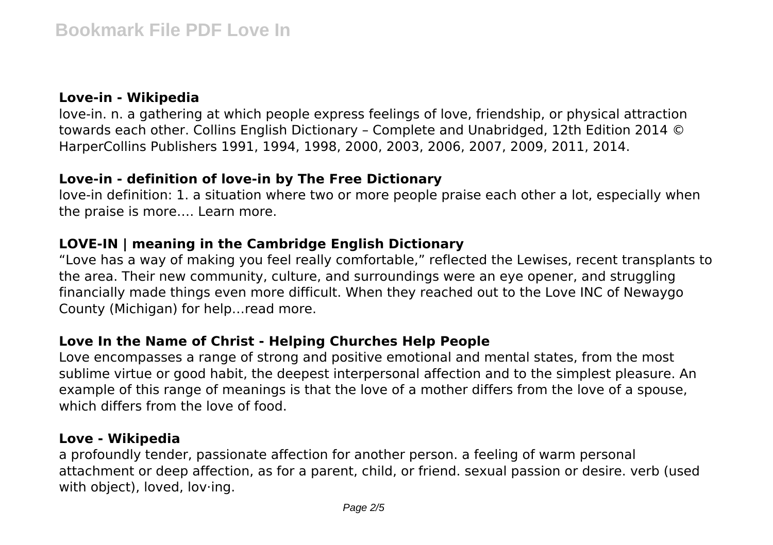## **Love-in - Wikipedia**

love-in. n. a gathering at which people express feelings of love, friendship, or physical attraction towards each other. Collins English Dictionary – Complete and Unabridged, 12th Edition 2014 © HarperCollins Publishers 1991, 1994, 1998, 2000, 2003, 2006, 2007, 2009, 2011, 2014.

## **Love-in - definition of love-in by The Free Dictionary**

love-in definition: 1. a situation where two or more people praise each other a lot, especially when the praise is more…. Learn more.

## **LOVE-IN | meaning in the Cambridge English Dictionary**

"Love has a way of making you feel really comfortable," reflected the Lewises, recent transplants to the area. Their new community, culture, and surroundings were an eye opener, and struggling financially made things even more difficult. When they reached out to the Love INC of Newaygo County (Michigan) for help…read more.

## **Love In the Name of Christ - Helping Churches Help People**

Love encompasses a range of strong and positive emotional and mental states, from the most sublime virtue or good habit, the deepest interpersonal affection and to the simplest pleasure. An example of this range of meanings is that the love of a mother differs from the love of a spouse, which differs from the love of food

#### **Love - Wikipedia**

a profoundly tender, passionate affection for another person. a feeling of warm personal attachment or deep affection, as for a parent, child, or friend. sexual passion or desire. verb (used with object), loved, lov·ing.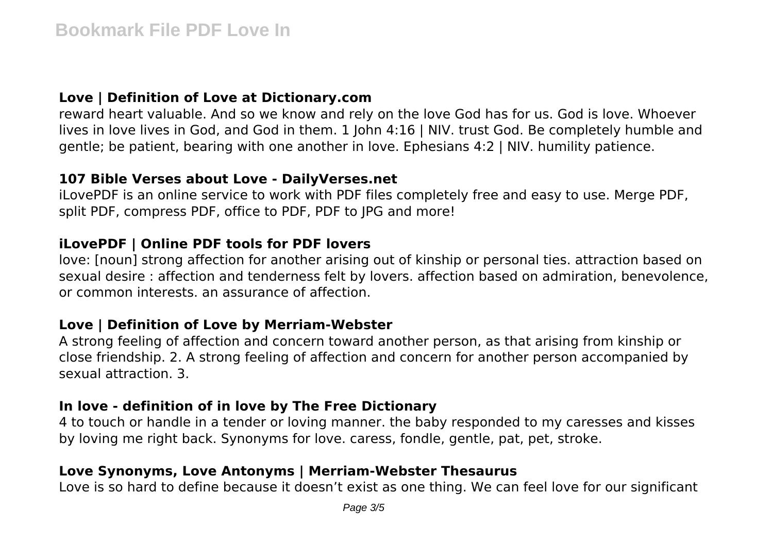## **Love | Definition of Love at Dictionary.com**

reward heart valuable. And so we know and rely on the love God has for us. God is love. Whoever lives in love lives in God, and God in them. 1 John 4:16 | NIV. trust God. Be completely humble and gentle; be patient, bearing with one another in love. Ephesians 4:2 | NIV. humility patience.

#### **107 Bible Verses about Love - DailyVerses.net**

iLovePDF is an online service to work with PDF files completely free and easy to use. Merge PDF, split PDF, compress PDF, office to PDF, PDF to JPG and more!

## **iLovePDF | Online PDF tools for PDF lovers**

love: [noun] strong affection for another arising out of kinship or personal ties. attraction based on sexual desire : affection and tenderness felt by lovers. affection based on admiration, benevolence, or common interests. an assurance of affection.

## **Love | Definition of Love by Merriam-Webster**

A strong feeling of affection and concern toward another person, as that arising from kinship or close friendship. 2. A strong feeling of affection and concern for another person accompanied by sexual attraction. 3.

## **In love - definition of in love by The Free Dictionary**

4 to touch or handle in a tender or loving manner. the baby responded to my caresses and kisses by loving me right back. Synonyms for love. caress, fondle, gentle, pat, pet, stroke.

## **Love Synonyms, Love Antonyms | Merriam-Webster Thesaurus**

Love is so hard to define because it doesn't exist as one thing. We can feel love for our significant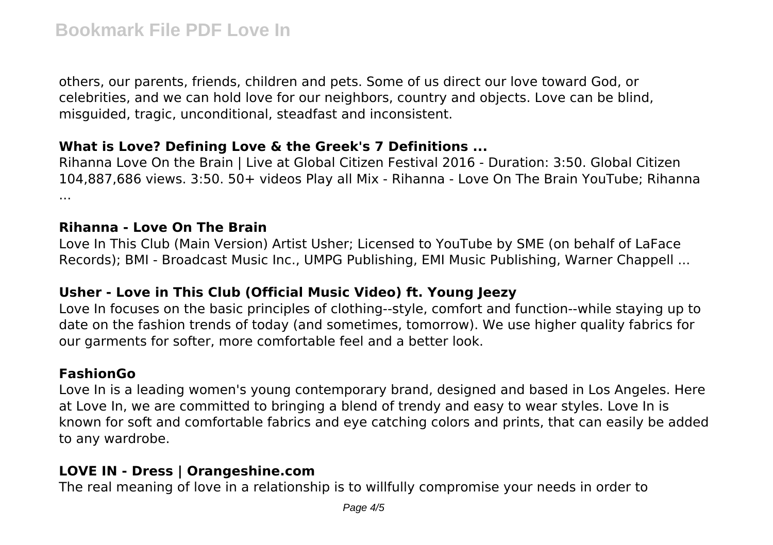others, our parents, friends, children and pets. Some of us direct our love toward God, or celebrities, and we can hold love for our neighbors, country and objects. Love can be blind, misguided, tragic, unconditional, steadfast and inconsistent.

#### **What is Love? Defining Love & the Greek's 7 Definitions ...**

Rihanna Love On the Brain | Live at Global Citizen Festival 2016 - Duration: 3:50. Global Citizen 104,887,686 views. 3:50. 50+ videos Play all Mix - Rihanna - Love On The Brain YouTube; Rihanna ...

#### **Rihanna - Love On The Brain**

Love In This Club (Main Version) Artist Usher; Licensed to YouTube by SME (on behalf of LaFace Records); BMI - Broadcast Music Inc., UMPG Publishing, EMI Music Publishing, Warner Chappell ...

## **Usher - Love in This Club (Official Music Video) ft. Young Jeezy**

Love In focuses on the basic principles of clothing--style, comfort and function--while staying up to date on the fashion trends of today (and sometimes, tomorrow). We use higher quality fabrics for our garments for softer, more comfortable feel and a better look.

## **FashionGo**

Love In is a leading women's young contemporary brand, designed and based in Los Angeles. Here at Love In, we are committed to bringing a blend of trendy and easy to wear styles. Love In is known for soft and comfortable fabrics and eye catching colors and prints, that can easily be added to any wardrobe.

## **LOVE IN - Dress | Orangeshine.com**

The real meaning of love in a relationship is to willfully compromise your needs in order to